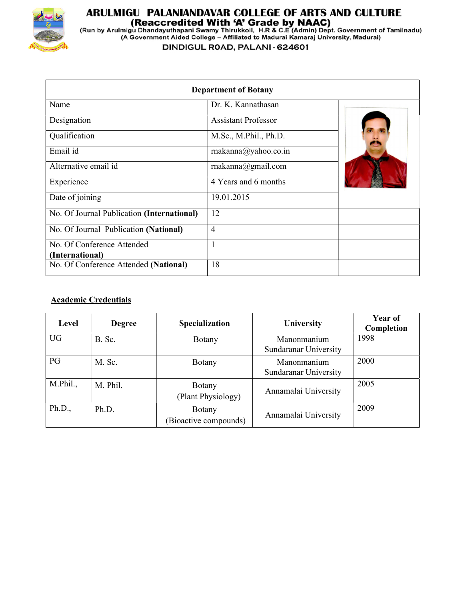

## **ARULMIGU PALANIANDAVAR COLLEGE OF ARTS AND CULTURE<br>(Reaccredited With 'A' Grade by NAAC)<br>(Run by Arulmigu Dhandayuthapani Swamy Thirukkoil, H.R & C.E (Admin) Dept. Government of Tamilnadu)<br>(A Government Aided College – Af**

DINDIGUL ROAD, PALANI - 624601

| <b>Department of Botany</b>                |                            |  |  |  |  |
|--------------------------------------------|----------------------------|--|--|--|--|
| Name                                       | Dr. K. Kannathasan         |  |  |  |  |
| Designation                                | <b>Assistant Professor</b> |  |  |  |  |
| Qualification                              | M.Sc., M.Phil., Ph.D.      |  |  |  |  |
| Email id                                   | rnakanna@yahoo.co.in       |  |  |  |  |
| Alternative email id                       | rnakanna@gmail.com         |  |  |  |  |
| Experience                                 | 4 Years and 6 months       |  |  |  |  |
| Date of joining                            | 19.01.2015                 |  |  |  |  |
| No. Of Journal Publication (International) | 12                         |  |  |  |  |
| No. Of Journal Publication (National)      | $\overline{4}$             |  |  |  |  |
| No. Of Conference Attended                 | 1                          |  |  |  |  |
| (International)                            |                            |  |  |  |  |
| No. Of Conference Attended (National)      | 18                         |  |  |  |  |

## Academic Credentials

| Level     | <b>Degree</b> | Specialization                      | University                           | Year of<br>Completion |
|-----------|---------------|-------------------------------------|--------------------------------------|-----------------------|
| <b>UG</b> | B. Sc.        | Botany                              | Manonmanium<br>Sundaranar University | 1998                  |
| PG        | M. Sc.        | Botany                              | Manonmanium<br>Sundaranar University | 2000                  |
| M.Phil.,  | M. Phil.      | <b>Botany</b><br>(Plant Physiology) | Annamalai University                 | 2005                  |
| Ph.D.,    | Ph.D.         | Botany<br>(Bioactive compounds)     | Annamalai University                 | 2009                  |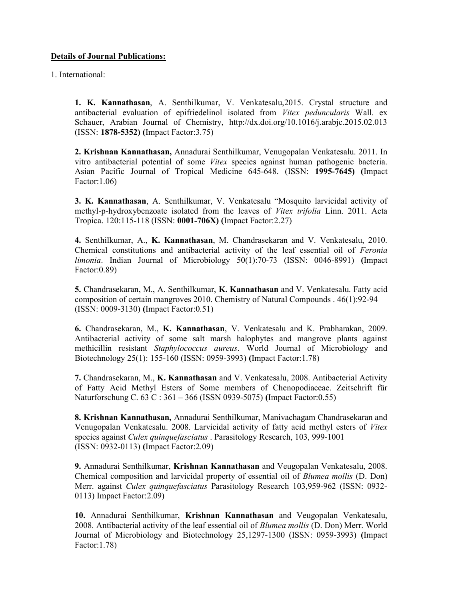## Details of Journal Publications:

1. International:

1. K. Kannathasan, A. Senthilkumar, V. Venkatesalu,2015. Crystal structure and antibacterial evaluation of epifriedelinol isolated from Vitex peduncularis Wall. ex Schauer, Arabian Journal of Chemistry, http://dx.doi.org/10.1016/j.arabjc.2015.02.013 (ISSN: 1878-5352) (Impact Factor:3.75)

2. Krishnan Kannathasan, Annadurai Senthilkumar, Venugopalan Venkatesalu. 2011. In vitro antibacterial potential of some Vitex species against human pathogenic bacteria. Asian Pacific Journal of Tropical Medicine 645-648. (ISSN: 1995-7645) (Impact Factor:1.06)

3. K. Kannathasan, A. Senthilkumar, V. Venkatesalu "Mosquito larvicidal activity of methyl-p-hydroxybenzoate isolated from the leaves of Vitex trifolia Linn. 2011. Acta Tropica. 120:115-118 (ISSN: 0001-706X) (Impact Factor:2.27)

4. Senthilkumar, A., K. Kannathasan, M. Chandrasekaran and V. Venkatesalu, 2010. Chemical constitutions and antibacterial activity of the leaf essential oil of Feronia limonia. Indian Journal of Microbiology 50(1):70-73 (ISSN: 0046-8991) (Impact Factor:0.89)

5. Chandrasekaran, M., A. Senthilkumar, K. Kannathasan and V. Venkatesalu. Fatty acid composition of certain mangroves 2010. Chemistry of Natural Compounds . 46(1):92-94 (ISSN: 0009-3130) (Impact Factor:0.51)

6. Chandrasekaran, M., K. Kannathasan, V. Venkatesalu and K. Prabharakan, 2009. Antibacterial activity of some salt marsh halophytes and mangrove plants against methicillin resistant Staphylococcus aureus. World Journal of Microbiology and Biotechnology 25(1): 155-160 (ISSN: 0959-3993) (Impact Factor:1.78)

7. Chandrasekaran, M., K. Kannathasan and V. Venkatesalu, 2008. Antibacterial Activity of Fatty Acid Methyl Esters of Some members of Chenopodiaceae. Zeitschrift für Naturforschung C. 63 C : 361 – 366 (ISSN 0939-5075) (Impact Factor:0.55)

8. Krishnan Kannathasan, Annadurai Senthilkumar, Manivachagam Chandrasekaran and Venugopalan Venkatesalu. 2008. Larvicidal activity of fatty acid methyl esters of Vitex species against Culex quinquefasciatus . Parasitology Research, 103, 999-1001 (ISSN: 0932-0113) (Impact Factor:2.09)

9. Annadurai Senthilkumar, Krishnan Kannathasan and Veugopalan Venkatesalu, 2008. Chemical composition and larvicidal property of essential oil of Blumea mollis (D. Don) Merr. against Culex quinquefasciatus Parasitology Research 103,959-962 (ISSN: 0932- 0113) Impact Factor:2.09)

10. Annadurai Senthilkumar, Krishnan Kannathasan and Veugopalan Venkatesalu, 2008. Antibacterial activity of the leaf essential oil of Blumea mollis (D. Don) Merr. World Journal of Microbiology and Biotechnology 25,1297-1300 (ISSN: 0959-3993) (Impact Factor:1.78)